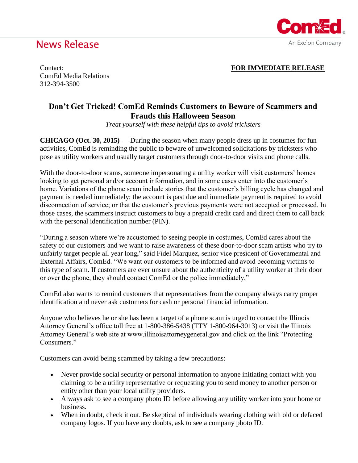# **News Release**



Contact: **FOR IMMEDIATE RELEASE**

ComEd Media Relations 312-394-3500

### **Don't Get Tricked! ComEd Reminds Customers to Beware of Scammers and Frauds this Halloween Season**

*Treat yourself with these helpful tips to avoid tricksters*

**CHICAGO (Oct. 30, 2015)** — During the season when many people dress up in costumes for fun activities, ComEd is reminding the public to beware of unwelcomed solicitations by tricksters who pose as utility workers and usually target customers through door-to-door visits and phone calls.

With the door-to-door scams, someone impersonating a utility worker will visit customers' homes looking to get personal and/or account information, and in some cases enter into the customer's home. Variations of the phone scam include stories that the customer's billing cycle has changed and payment is needed immediately; the account is past due and immediate payment is required to avoid disconnection of service; or that the customer's previous payments were not accepted or processed. In those cases, the scammers instruct customers to buy a prepaid credit card and direct them to call back with the personal identification number (PIN).

"During a season where we're accustomed to seeing people in costumes, ComEd cares about the safety of our customers and we want to raise awareness of these door-to-door scam artists who try to unfairly target people all year long," said Fidel Marquez, senior vice president of Governmental and External Affairs, ComEd. "We want our customers to be informed and avoid becoming victims to this type of scam. If customers are ever unsure about the authenticity of a utility worker at their door or over the phone, they should contact ComEd or the police immediately."

ComEd also wants to remind customers that representatives from the company always carry proper identification and never ask customers for cash or personal financial information.

Anyone who believes he or she has been a target of a phone scam is urged to contact the Illinois Attorney General's office toll free at 1-800-386-5438 (TTY 1-800-964-3013) or visit the Illinois Attorney General's web site at www.illinoisattorneygeneral.gov and click on the link "Protecting Consumers<sup>"</sup>

Customers can avoid being scammed by taking a few precautions:

- Never provide social security or personal information to anyone initiating contact with you claiming to be a utility representative or requesting you to send money to another person or entity other than your local utility providers.
- Always ask to see a company photo ID before allowing any utility worker into your home or business.
- When in doubt, check it out. Be skeptical of individuals wearing clothing with old or defaced company logos. If you have any doubts, ask to see a company photo ID.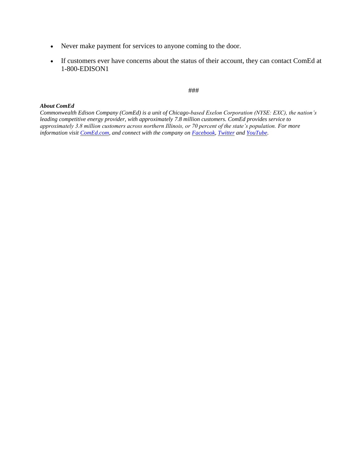- Never make payment for services to anyone coming to the door.
- If customers ever have concerns about the status of their account, they can contact ComEd at 1-800-EDISON1

### ###

#### *About ComEd*

*Commonwealth Edison Company (ComEd) is a unit of Chicago-based Exelon Corporation (NYSE: EXC), the nation's leading competitive energy provider, with approximately 7.8 million customers. ComEd provides service to approximately 3.8 million customers across northern Illinois, or 70 percent of the state's population. For more information visit [ComEd.c](http://www.comed.com/)om, and connect with the company on [Facebook,](http://www.facebook.com/comed) [Twitter](http://www.twitter.com/comed) an[d YouTube.](http://www.youtube.com/commonwealthedison)*